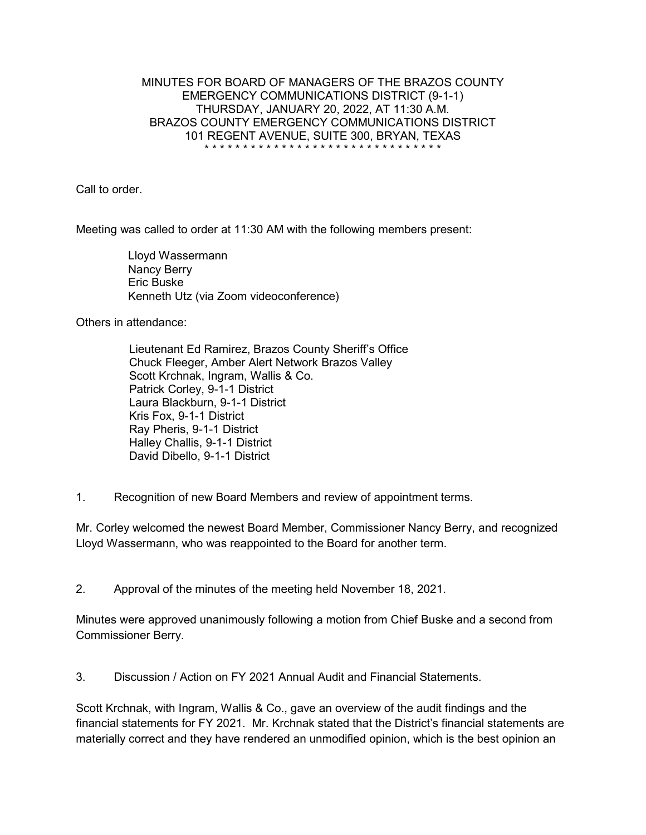## MINUTES FOR BOARD OF MANAGERS OF THE BRAZOS COUNTY EMERGENCY COMMUNICATIONS DISTRICT (9-1-1) THURSDAY, JANUARY 20, 2022, AT 11:30 A.M. BRAZOS COUNTY EMERGENCY COMMUNICATIONS DISTRICT 101 REGENT AVENUE, SUITE 300, BRYAN, TEXAS \* \* \* \* \* \* \* \* \* \* \* \* \* \* \* \* \* \* \* \* \* \* \* \* \* \* \* \* \* \* \*

Call to order.

Meeting was called to order at 11:30 AM with the following members present:

Lloyd Wassermann Nancy Berry Eric Buske Kenneth Utz (via Zoom videoconference)

Others in attendance:

Lieutenant Ed Ramirez, Brazos County Sheriff's Office Chuck Fleeger, Amber Alert Network Brazos Valley Scott Krchnak, Ingram, Wallis & Co. Patrick Corley, 9-1-1 District Laura Blackburn, 9-1-1 District Kris Fox, 9-1-1 District Ray Pheris, 9-1-1 District Halley Challis, 9-1-1 District David Dibello, 9-1-1 District

1. Recognition of new Board Members and review of appointment terms.

Mr. Corley welcomed the newest Board Member, Commissioner Nancy Berry, and recognized Lloyd Wassermann, who was reappointed to the Board for another term.

2. Approval of the minutes of the meeting held November 18, 2021.

Minutes were approved unanimously following a motion from Chief Buske and a second from Commissioner Berry.

3. Discussion / Action on FY 2021 Annual Audit and Financial Statements.

Scott Krchnak, with Ingram, Wallis & Co., gave an overview of the audit findings and the financial statements for FY 2021. Mr. Krchnak stated that the District's financial statements are materially correct and they have rendered an unmodified opinion, which is the best opinion an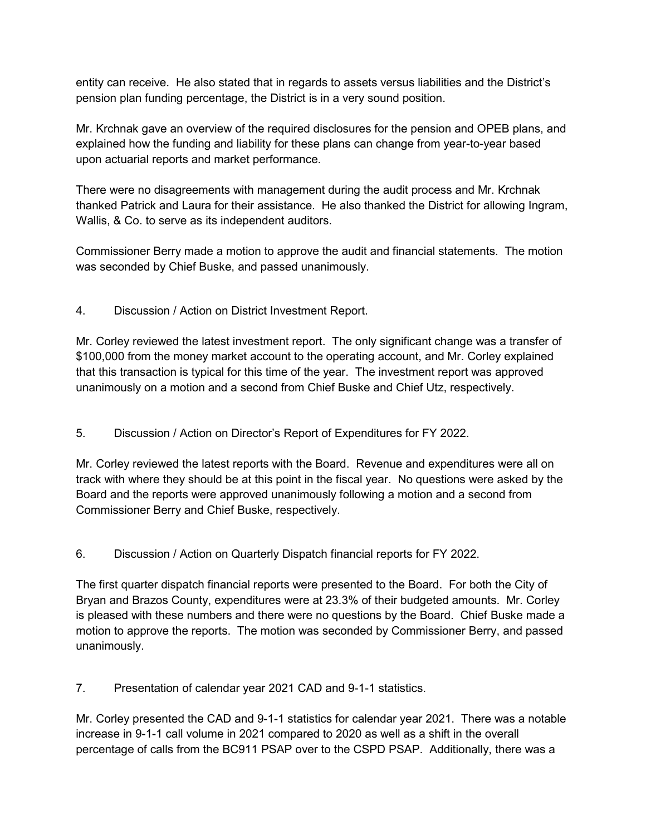entity can receive. He also stated that in regards to assets versus liabilities and the District's pension plan funding percentage, the District is in a very sound position.

Mr. Krchnak gave an overview of the required disclosures for the pension and OPEB plans, and explained how the funding and liability for these plans can change from year-to-year based upon actuarial reports and market performance.

There were no disagreements with management during the audit process and Mr. Krchnak thanked Patrick and Laura for their assistance. He also thanked the District for allowing Ingram, Wallis, & Co. to serve as its independent auditors.

Commissioner Berry made a motion to approve the audit and financial statements. The motion was seconded by Chief Buske, and passed unanimously.

4. Discussion / Action on District Investment Report.

Mr. Corley reviewed the latest investment report. The only significant change was a transfer of \$100,000 from the money market account to the operating account, and Mr. Corley explained that this transaction is typical for this time of the year. The investment report was approved unanimously on a motion and a second from Chief Buske and Chief Utz, respectively.

5. Discussion / Action on Director's Report of Expenditures for FY 2022.

Mr. Corley reviewed the latest reports with the Board. Revenue and expenditures were all on track with where they should be at this point in the fiscal year. No questions were asked by the Board and the reports were approved unanimously following a motion and a second from Commissioner Berry and Chief Buske, respectively.

6. Discussion / Action on Quarterly Dispatch financial reports for FY 2022.

The first quarter dispatch financial reports were presented to the Board. For both the City of Bryan and Brazos County, expenditures were at 23.3% of their budgeted amounts. Mr. Corley is pleased with these numbers and there were no questions by the Board. Chief Buske made a motion to approve the reports. The motion was seconded by Commissioner Berry, and passed unanimously.

7. Presentation of calendar year 2021 CAD and 9-1-1 statistics.

Mr. Corley presented the CAD and 9-1-1 statistics for calendar year 2021. There was a notable increase in 9-1-1 call volume in 2021 compared to 2020 as well as a shift in the overall percentage of calls from the BC911 PSAP over to the CSPD PSAP. Additionally, there was a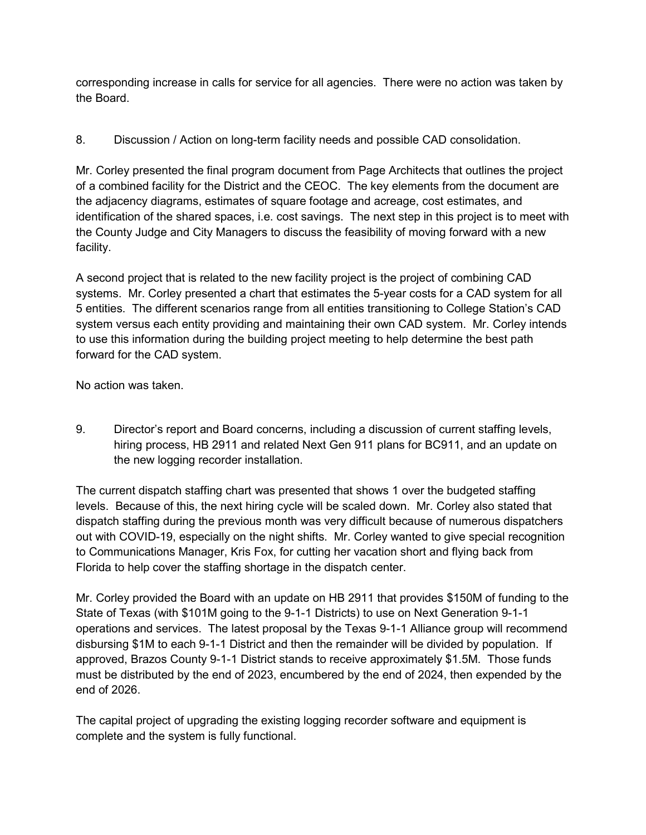corresponding increase in calls for service for all agencies. There were no action was taken by the Board.

## 8. Discussion / Action on long-term facility needs and possible CAD consolidation.

Mr. Corley presented the final program document from Page Architects that outlines the project of a combined facility for the District and the CEOC. The key elements from the document are the adjacency diagrams, estimates of square footage and acreage, cost estimates, and identification of the shared spaces, i.e. cost savings. The next step in this project is to meet with the County Judge and City Managers to discuss the feasibility of moving forward with a new facility.

A second project that is related to the new facility project is the project of combining CAD systems. Mr. Corley presented a chart that estimates the 5-year costs for a CAD system for all 5 entities. The different scenarios range from all entities transitioning to College Station's CAD system versus each entity providing and maintaining their own CAD system. Mr. Corley intends to use this information during the building project meeting to help determine the best path forward for the CAD system.

No action was taken.

9. Director's report and Board concerns, including a discussion of current staffing levels, hiring process, HB 2911 and related Next Gen 911 plans for BC911, and an update on the new logging recorder installation.

The current dispatch staffing chart was presented that shows 1 over the budgeted staffing levels. Because of this, the next hiring cycle will be scaled down. Mr. Corley also stated that dispatch staffing during the previous month was very difficult because of numerous dispatchers out with COVID-19, especially on the night shifts. Mr. Corley wanted to give special recognition to Communications Manager, Kris Fox, for cutting her vacation short and flying back from Florida to help cover the staffing shortage in the dispatch center.

Mr. Corley provided the Board with an update on HB 2911 that provides \$150M of funding to the State of Texas (with \$101M going to the 9-1-1 Districts) to use on Next Generation 9-1-1 operations and services. The latest proposal by the Texas 9-1-1 Alliance group will recommend disbursing \$1M to each 9-1-1 District and then the remainder will be divided by population. If approved, Brazos County 9-1-1 District stands to receive approximately \$1.5M. Those funds must be distributed by the end of 2023, encumbered by the end of 2024, then expended by the end of 2026.

The capital project of upgrading the existing logging recorder software and equipment is complete and the system is fully functional.